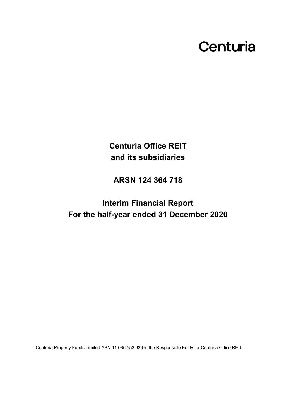# Centuria

**Centuria Office REIT and its subsidiaries**

**ARSN 124 364 718**

**Interim Financial Report For the half-year ended 31 December 2020**

Centuria Property Funds Limited ABN 11 086 553 639 is the Responsible Entity for Centuria Office REIT.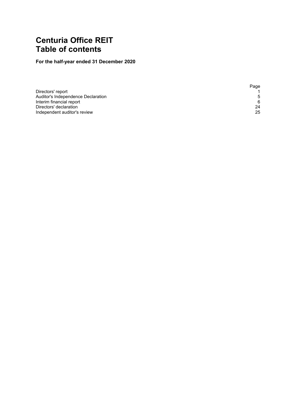# **Centuria Office REIT Table of contents**

## **For the half-year ended 31 December 2020**

|                                    | Page |
|------------------------------------|------|
| Directors' report                  |      |
| Auditor's Independence Declaration | .5   |
| Interim financial report           | 6    |
| Directors' declaration             | 24   |
| Independent auditor's review       | 25   |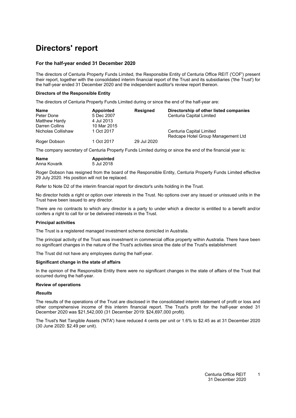# <span id="page-2-0"></span>**Directors' report**

#### **For the half-year ended 31 December 2020**

The directors of Centuria Property Funds Limited, the Responsible Entity of Centuria Office REIT ('COF') present their report, together with the consolidated interim financial report of the Trust and its subsidiaries ('the Trust') for the half-year ended 31 December 2020 and the independent auditor's review report thereon.

#### **Directors of the Responsible Entity**

The directors of Centuria Property Funds Limited during or since the end of the half-year are:

| Name               | Appointed   | <b>Resigned</b> | Directorship of other listed companies |
|--------------------|-------------|-----------------|----------------------------------------|
| Peter Done         | 5 Dec 2007  |                 | Centuria Capital Limited               |
| Matthew Hardy      | 4 Jul 2013  |                 |                                        |
| Darren Collins     | 10 Mar 2015 |                 |                                        |
| Nicholas Collishaw | 1 Oct 2017  |                 | Centuria Capital Limited               |
|                    |             |                 | Redcape Hotel Group Management Ltd     |
| Roger Dobson       | 1 Oct 2017  | 29 Jul 2020     |                                        |

The company secretary of Centuria Property Funds Limited during or since the end of the financial year is:

| <b>Name</b>  | <b>Appointed</b> |
|--------------|------------------|
| Anna Kovarik | 5 Jul 2018       |

Roger Dobson has resigned from the board of the Responsible Entity, Centuria Property Funds Limited effective 29 July 2020. His position will not be replaced.

Refer to Note D2 of the interim financial report for director's units holding in the Trust.

No director holds a right or option over interests in the Trust. No options over any issued or unissued units in the Trust have been issued to any director.

There are no contracts to which any director is a party to under which a director is entitled to a benefit and/or confers a right to call for or be delivered interests in the Trust.

#### **Principal activities**

The Trust is a registered managed investment scheme domiciled in Australia.

The principal activity of the Trust was investment in commercial office property within Australia. There have been no significant changes in the nature of the Trust's activities since the date of the Trust's establishment

The Trust did not have any employees during the half-year.

#### **Significant change in the state of affairs**

In the opinion of the Responsible Entity there were no significant changes in the state of affairs of the Trust that occurred during the half-year.

#### **Review of operations**

#### *Results*

The results of the operations of the Trust are disclosed in the consolidated interim statement of profit or loss and other comprehensive income of this interim financial report. The Trust's profit for the half-year ended 31 December 2020 was \$21,542,000 (31 December 2019: \$24,697,000 profit).

The Trust's Net Tangible Assets ('NTA') have reduced 4 cents per unit or 1.6% to \$2.45 as at 31 December 2020 (30 June 2020: \$2.49 per unit).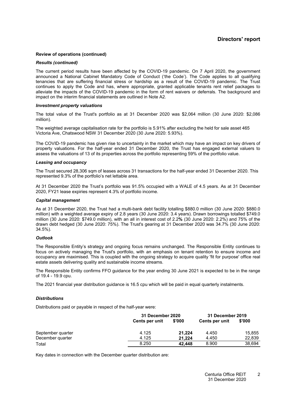#### **Review of operations (continued)**

#### *Results (continued)*

The current period results have been affected by the COVID-19 pandemic. On 7 April 2020, the government announced a National Cabinet Mandatory Code of Conduct ('the Code'). The Code applies to all qualifying tenancies that are suffering financial stress or hardship as a result of the COVID-19 pandemic. The Trust continues to apply the Code and has, where appropriate, granted applicable tenants rent relief packages to alleviate the impacts of the COVID-19 pandemic in the form of rent waivers or deferrals. The background and impact on the interim financial statements are outlined in Note A2.

#### *Investment property valuations*

The total value of the Trust's portfolio as at 31 December 2020 was \$2,064 million (30 June 2020: \$2,086 million).

The weighted average capitalisation rate for the portfolio is 5.91% after excluding the held for sale asset 465 Victoria Ave, Chatswood NSW 31 December 2020 (30 June 2020: 5.93%).

The COVID-19 pandemic has given rise to uncertainty in the market which may have an impact on key drivers of property valuations. For the half-year ended 31 December 2020, the Trust has engaged external valuers to assess the valuations of 13 of its properties across the portfolio representing 59% of the portfolio value.

#### *Leasing and occupancy*

The Trust secured 28,306 sqm of leases across 31 transactions for the half-year ended 31 December 2020. This represented 9.3% of the portfolio's net lettable area.

At 31 December 2020 the Trust's portfolio was 91.5% occupied with a WALE of 4.5 years. As at 31 December 2020, FY21 lease expiries represent 4.3% of portfolio income.

#### *Capital management*

As at 31 December 2020, the Trust had a multi-bank debt facility totalling \$880.0 million (30 June 2020: \$880.0 million) with a weighted average expiry of 2.8 years (30 June 2020: 3.4 years). Drawn borrowings totalled \$749.0 million (30 June 2020: \$749.0 million), with an all in interest cost of 2.2**%** (30 June 2020: 2.2%) and 75% of the drawn debt hedged (30 June 2020: 75%). The Trust's gearing at 31 December 2020 was 34.7% (30 June 2020: 34.5%).

#### *Outlook*

The Responsible Entity's strategy and ongoing focus remains unchanged. The Responsible Entity continues to focus on actively managing the Trust's portfolio, with an emphasis on tenant retention to ensure income and occupancy are maximised. This is coupled with the ongoing strategy to acquire quality 'fit for purpose' office real estate assets delivering quality and sustainable income streams.

The Responsible Entity confirms FFO guidance for the year ending 30 June 2021 is expected to be in the range of 19.4 - 19.9 cpu.

The 2021 financial year distribution guidance is 16.5 cpu which will be paid in equal quarterly instalments.

#### *Distributions*

Distributions paid or payable in respect of the half-year were:

|                   | 31 December 2020 |        | 31 December 2019 |        |
|-------------------|------------------|--------|------------------|--------|
|                   | Cents per unit   | \$'000 | Cents per unit   | \$'000 |
| September quarter | 4.125            | 21.224 | 4.450            | 15,855 |
| December quarter  | 4.125            | 21.224 | 4.450            | 22,839 |
| Total             | 8.250            | 42.448 | 8.900            | 38.694 |

Key dates in connection with the December quarter distribution are: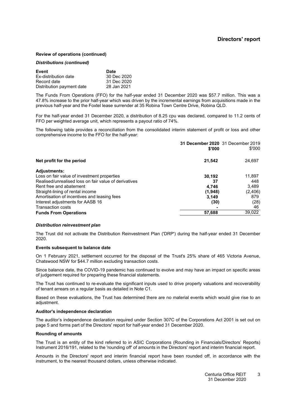#### **Review of operations (continued)**

#### *Distributions (continued)*

| Event                       | <b>Date</b> |
|-----------------------------|-------------|
| <b>Ex-distribution date</b> | 30 Dec 2020 |
| Record date                 | 31 Dec 2020 |
| Distribution payment date   | 28 Jan 2021 |

The Funds From Operations (FFO) for the half-year ended 31 December 2020 was \$57.7 million. This was a 47.8% increase to the prior half-year which was driven by the incremental earnings from acquisitions made in the previous half-year and the Foxtel lease surrender at 35 Robina Town Centre Drive, Robina QLD.

For the half-year ended 31 December 2020, a distribution of 8.25 cpu was declared, compared to 11.2 cents of FFO per weighted average unit, which represents a payout ratio of 74%.

The following table provides a reconciliation from the consolidated interim statement of profit or loss and other comprehensive income to the FFO for the half-year:

|                                                       | 31 December 2020 31 December 2019<br>\$'000 | \$'000   |
|-------------------------------------------------------|---------------------------------------------|----------|
| Net profit for the period                             | 21,542                                      | 24,697   |
| <b>Adjustments:</b>                                   |                                             |          |
| Loss on fair value of investment properties           | 30.192                                      | 11,897   |
| Realised/unrealised loss on fair value of derivatives | 37                                          | 448      |
| Rent free and abatement                               | 4.746                                       | 3.489    |
| Straight-lining of rental income                      | (1,948)                                     | (2, 406) |
| Amortisation of incentives and leasing fees           | 3.149                                       | 879      |
| Interest adjustments for AASB 16                      | (30)                                        | (28)     |
| <b>Transaction costs</b>                              |                                             | 46       |
| <b>Funds From Operations</b>                          | 57,688                                      | 39,022   |

#### *Distribution reinvestment plan*

The Trust did not activate the Distribution Reinvestment Plan ('DRP') during the half-year ended 31 December 2020.

#### **Events subsequent to balance date**

On 1 February 2021, settlement occurred for the disposal of the Trust's 25% share of 465 Victoria Avenue, Chatswood NSW for \$44.7 million excluding transaction costs.

Since balance date, the COVID-19 pandemic has continued to evolve and may have an impact on specific areas of judgement required for preparing these financial statements.

The Trust has continued to re-evaluate the significant inputs used to drive property valuations and recoverability of tenant arrears on a regular basis as detailed in Note [C1.](#page-12-0)

Based on these evaluations, the Trust has determined there are no material events which would give rise to an adjustment.

#### **Auditor's independence declaration**

The auditor's independence declaration required under Section 307C of the Corporations Act 2001 is set out on page 5 and forms part of the Directors' report for half-year ended 31 December 2020.

#### **Rounding of amounts**

The Trust is an entity of the kind referred to in ASIC Corporations (Rounding in Financials/Directors' Reports) Instrument 2016/191, related to the 'rounding off' of amounts in the Directors' report and interim financial report.

Amounts in the Directors' report and interim financial report have been rounded off, in accordance with the instrument, to the nearest thousand dollars, unless otherwise indicated.

> Centuria Office REIT 31 December 2020 3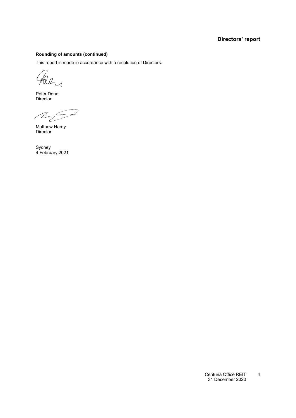### **Directors' report**

#### **Rounding of amounts (continued)**

This report is made in accordance with a resolution of Directors.

Pal

Peter Done Director

 $\mathcal{A}_{2}$ 

Matthew Hardy Director

Sydney 4 February 2021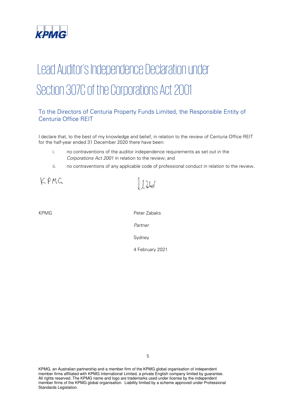

# Lead Auditor's Independence Declaration under Section 307C of the Corporations Act 2001

### To the Directors of Centuria Property Funds Limited, the Responsible Entity of Centuria Office REIT

I declare that, to the best of my knowledge and belief, in relation to the review of Centuria Office REIT for the half-year ended 31 December 2020 there have been:

 $\int \int \lambda \, d\mu$ 

- i. no contraventions of the auditor independence requirements as set out in the Corporations Act 2001 in relation to the review; and
- ii. no contraventions of any applicable code of professional conduct in relation to the review.

KPMG

KPMG Peter Zabaks Partner Sydney

4 February 2021

KPMG, an Australian partnership and a member firm of the KPMG global organisation of independent member firms affiliated with KPMG International Limited, a private English company limited by guarantee. All rights reserved. The KPMG name and logo are trademarks used under license by the independent member firms of the KPMG global organisation. Liability limited by a scheme approved under Professional Standards Legislation.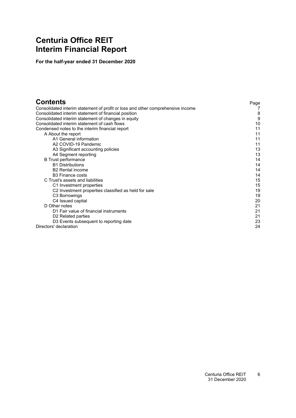# <span id="page-7-0"></span>**Centuria Office REIT Interim Financial Report**

**For the half-year ended 31 December 2020**

| <b>Contents</b>                                                                 | Page |
|---------------------------------------------------------------------------------|------|
| Consolidated interim statement of profit or loss and other comprehensive income |      |
| Consolidated interim statement of financial position                            | 8    |
| Consolidated interim statement of changes in equity                             | 9    |
| Consolidated interim statement of cash flows                                    | 10   |
| Condensed notes to the interim financial report                                 | 11   |
| A About the report                                                              | 11   |
| A1 General information                                                          | 11   |
| A2 COVID-19 Pandemic                                                            | 11   |
| A3 Significant accounting policies                                              | 13   |
| A4 Segment reporting                                                            | 13   |
| <b>B</b> Trust performance                                                      | 14   |
| <b>B1 Distributions</b>                                                         | 14   |
| <b>B2</b> Rental income                                                         | 14   |
| <b>B3</b> Finance costs                                                         | 14   |
| C Trust's assets and liabilities                                                | 15   |
| C1 Investment properties                                                        | 15   |
| C <sub>2</sub> Investment properties classified as held for sale                | 19   |
| C3 Borrowings                                                                   | 19   |
| C4 Issued capital                                                               | 20   |
| D Other notes                                                                   | 21   |
| D1 Fair value of financial instruments                                          | 21   |
| D <sub>2</sub> Related parties                                                  | 21   |
| D3 Events subsequent to reporting date                                          | 23   |
| Directors' declaration                                                          | 24   |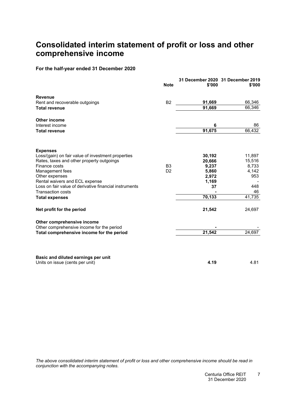# <span id="page-8-0"></span>**Consolidated interim statement of profit or loss and other comprehensive income**

### **For the half-year ended 31 December 2020**

|                                                                                          | <b>Note</b>    | 31 December 2020 31 December 2019<br>\$'000 | \$'000    |
|------------------------------------------------------------------------------------------|----------------|---------------------------------------------|-----------|
| <b>Revenue</b>                                                                           |                |                                             |           |
| Rent and recoverable outgoings                                                           | <b>B2</b>      | 91,669                                      | 66,346    |
| <b>Total revenue</b>                                                                     |                | 91,669                                      | 66,346    |
| <b>Other income</b>                                                                      |                |                                             |           |
| Interest income                                                                          |                | 6                                           | 86        |
| <b>Total revenue</b>                                                                     |                | 91,675                                      | 66,432    |
| <b>Expenses</b>                                                                          |                |                                             |           |
| Loss/(gain) on fair value of investment properties                                       |                | 30,192                                      | 11,897    |
| Rates, taxes and other property outgoings                                                |                | 20,666                                      | 15,516    |
| Finance costs                                                                            | B <sub>3</sub> | 9,237                                       | 8,733     |
| Management fees                                                                          | D <sub>2</sub> | 5,860                                       | 4,142     |
| Other expenses                                                                           |                | 2,972                                       | 953       |
| Rental waivers and ECL expense<br>Loss on fair value of derivative financial instruments |                | 1,169                                       |           |
| <b>Transaction costs</b>                                                                 |                | 37                                          | 448<br>46 |
| <b>Total expenses</b>                                                                    |                | 70,133                                      | 41,735    |
| Net profit for the period                                                                |                | 21,542                                      | 24,697    |
| Other comprehensive income                                                               |                |                                             |           |
| Other comprehensive income for the period                                                |                |                                             |           |
| Total comprehensive income for the period                                                |                | 21,542                                      | 24,697    |
| Basic and diluted earnings per unit                                                      |                |                                             |           |
| Units on issue (cents per unit)                                                          |                | 4.19                                        | 4.81      |

The above consolidated interim statement of profit or loss and other comprehensive income should be read in *conjunction with the accompanying notes.*

> Centuria Office REIT 31 December 2020 7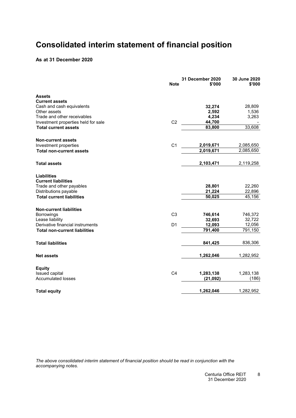# <span id="page-9-0"></span>**Consolidated interim statement of financial position**

### **As at 31 December 2020**

|                                      | <b>Note</b>    | 31 December 2020<br>\$'000 | 30 June 2020<br>\$'000 |
|--------------------------------------|----------------|----------------------------|------------------------|
| Assets                               |                |                            |                        |
| <b>Current assets</b>                |                |                            |                        |
| Cash and cash equivalents            |                | 32,274                     | 28,809                 |
| Other assets                         |                | 2,592                      | 1,536                  |
| Trade and other receivables          |                | 4,234                      | 3,263                  |
| Investment properties held for sale  | C <sub>2</sub> | 44,700                     |                        |
| <b>Total current assets</b>          |                | 83,800                     | 33,608                 |
| <b>Non-current assets</b>            |                |                            |                        |
| Investment properties                | C <sub>1</sub> | 2,019,671                  | 2,085,650              |
| <b>Total non-current assets</b>      |                | 2,019,671                  | 2,085,650              |
| <b>Total assets</b>                  |                | 2,103,471                  | 2,119,258              |
| <b>Liabilities</b>                   |                |                            |                        |
| <b>Current liabilities</b>           |                |                            |                        |
| Trade and other payables             |                | 28,801                     | 22,260                 |
| Distributions payable                |                | 21,224                     | 22,896                 |
| <b>Total current liabilities</b>     |                | 50,025                     | 45,156                 |
| <b>Non-current liabilities</b>       |                |                            |                        |
| Borrowings                           | C <sub>3</sub> | 746,614                    | 746,372                |
| Lease liability                      |                | 32,693                     | 32,722                 |
| Derivative financial instruments     | D <sub>1</sub> | 12,093                     | 12,056                 |
| <b>Total non-current liabilities</b> |                | 791,400                    | 791,150                |
| <b>Total liabilities</b>             |                | 841,425                    | 836,306                |
| <b>Net assets</b>                    |                | 1,262,046                  | 1,282,952              |
| <b>Equity</b>                        |                |                            |                        |
| Issued capital                       | C <sub>4</sub> | 1,283,138                  | 1,283,138              |
| <b>Accumulated losses</b>            |                | (21, 092)                  | (186)                  |
| <b>Total equity</b>                  |                | 1,262,046                  | 1,282,952              |
|                                      |                |                            |                        |

*The above consolidated interim statement of financial position should be read in conjunction with the accompanying notes.*

> Centuria Office REIT 31 December 2020 8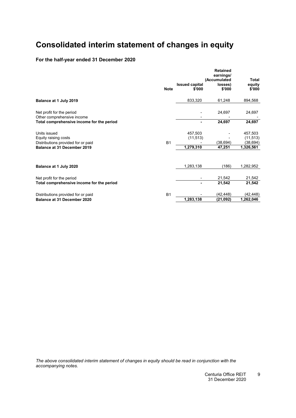# <span id="page-10-0"></span>**Consolidated interim statement of changes in equity**

### **For the half-year ended 31 December 2020**

|                                                                         |             | <b>Issued capital</b> | <b>Retained</b><br>earnings/<br>(Accumulated<br>losses) | Total<br>equity        |
|-------------------------------------------------------------------------|-------------|-----------------------|---------------------------------------------------------|------------------------|
|                                                                         | <b>Note</b> | \$'000                | \$'000                                                  | \$'000                 |
| Balance at 1 July 2019                                                  |             | 833,320               | 61,248                                                  | 894,568                |
| Net profit for the period                                               |             |                       | 24,697                                                  | 24,697                 |
| Other comprehensive income<br>Total comprehensive income for the period |             |                       | 24,697                                                  | 24,697                 |
| Units issued                                                            |             | 457,503<br>(11, 513)  |                                                         | 457,503                |
| Equity raising costs<br>Distributions provided for or paid              | <b>B1</b>   |                       | (38, 694)                                               | (11, 513)<br>(38, 694) |
| Balance at 31 December 2019                                             |             | 1,279,310             | 47,251                                                  | 1,326,561              |
|                                                                         |             |                       |                                                         |                        |
| Balance at 1 July 2020                                                  |             | 1,283,138             | (186)                                                   | 1,282,952              |
| Net profit for the period                                               |             |                       | 21,542                                                  | 21,542                 |
| Total comprehensive income for the period                               |             |                       | 21,542                                                  | 21,542                 |
| Distributions provided for or paid                                      | <b>B1</b>   |                       | (42,448)                                                | (42,448)               |
| Balance at 31 December 2020                                             |             | 1,283,138             | (21,092)                                                | 1,262,046              |

*The above consolidated interim statement of changes in equity should be read in conjunction with the accompanying notes.*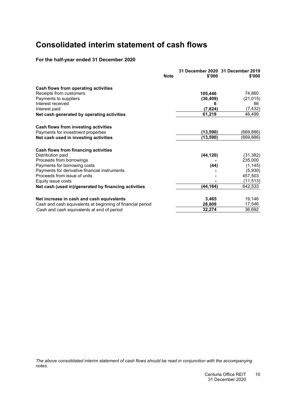# <span id="page-11-0"></span>**Consolidated interim statement of cash flows**

### **For the half-year ended 31 December 2020**

|                                                            | <b>Note</b> | \$'000    | 31 December 2020 31 December 2019<br>\$'000 |
|------------------------------------------------------------|-------------|-----------|---------------------------------------------|
| Cash flows from operating activities                       |             |           |                                             |
| Receipts from customers                                    |             | 105,446   | 74,860                                      |
| Payments to suppliers                                      |             | (36, 409) | (21, 015)                                   |
| Interest received                                          |             | 6         | 86                                          |
| Interest paid                                              |             | (7, 824)  | (7, 432)                                    |
| Net cash generated by operating activities                 |             | 61,219    | 46,499                                      |
| Cash flows from investing activities                       |             |           |                                             |
| Payments for investment properties                         |             | (13, 590) | (669,886)                                   |
| Net cash used in investing activities                      |             | (13,590)  | (669,886)                                   |
| Cash flows from financing activities                       |             |           |                                             |
| Distribution paid                                          |             | (44, 120) | (31, 382)                                   |
| Proceeds from borrowings                                   |             |           | 235,000                                     |
| Payments for borrowing costs                               |             | (44)      | (1, 145)                                    |
| Payments for derivative financial instruments              |             |           | (5,930)                                     |
| Proceeds from issue of units                               |             |           | 457,503                                     |
| Equity issue costs                                         |             |           | (11, 513)                                   |
| Net cash (used in)/generated by financing activities       |             | (44,164)  | 642,533                                     |
| Net increase in cash and cash equivalents                  |             | 3,465     | 19,146                                      |
| Cash and cash equivalents at beginning of financial period |             | 28,809    | 17,546                                      |
| Cash and cash equivalents at end of period                 |             | 32,274    | 36,692                                      |

*The above consolidated interim statement of cash flows should be read in conjunction with the accompanying notes.*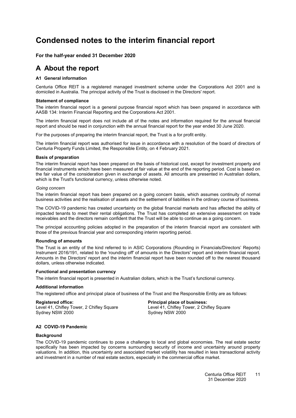# <span id="page-12-4"></span><span id="page-12-0"></span>**Condensed notes to the interim financial report**

#### <span id="page-12-1"></span>**For the half-year ended 31 December 2020**

### <span id="page-12-2"></span>**A About the report**

#### **[A1](#page-12-2) General information**

Centuria Office REIT is a registered managed investment scheme under the Corporations Act 2001 and is domiciled in Australia. The principal activity of the Trust is disclosed in the Directors' report.

#### **Statement of compliance**

The interim financial report is a general purpose financial report which has been prepared in accordance with AASB 134: Interim Financial Reporting and the Corporations Act 2001.

The interim financial report does not include all of the notes and information required for the annual financial report and should be read in conjunction with the annual financial report for the year ended 30 June 2020.

For the purposes of preparing the interim financial report, the Trust is a for profit entity.

The interim financial report was authorised for issue in accordance with a resolution of the board of directors of Centuria Property Funds Limited, the Responsible Entity, on 4 February 2021.

#### **Basis of preparation**

The interim financial report has been prepared on the basis of historical cost, except for investment property and financial instruments which have been measured at fair value at the end of the reporting period. Cost is based on the fair value of the consideration given in exchange of assets. All amounts are presented in Australian dollars, which is the Trust's functional currency, unless otherwise noted.

#### *Going concern*

The interim financial report has been prepared on a going concern basis, which assumes continuity of normal business activities and the realisation of assets and the settlement of liabilities in the ordinary course of business.

The COVID-19 pandemic has created uncertainty on the global financial markets and has affected the ability of impacted tenants to meet their rental obligations. The Trust has completed an extensive assessment on trade receivables and the directors remain confident that the Trust will be able to continue as a going concern.

The principal accounting policies adopted in the preparation of the interim financial report are consistent with those of the previous financial year and corresponding interim reporting period.

#### **Rounding of amounts**

The Trust is an entity of the kind referred to in ASIC Corporations (Rounding in Financials/Directors' Reports) Instrument 2016/191, related to the 'rounding off' of amounts in the Directors' report and interim financial report. Amounts in the Directors' report and the interim financial report have been rounded off to the nearest thousand dollars, unless otherwise indicated.

#### **Functional and presentation currency**

The interim financial report is presented in Australian dollars, which is the Trust's functional currency.

#### **Additional information**

The registered office and principal place of business of the Trust and the Responsible Entity are as follows:

<span id="page-12-3"></span>**Registered office: Principal place of business:** Level 41, Chifley Tower, 2 Chifley Square Level 41, Chifley To<br>Sydney NSW 2000 Sydney NSW 2000 Sydney NSW 2000

#### **[A2](#page-12-3) COVID-19 Pandemic**

#### **Background**

The COVID-19 pandemic continues to pose a challenge to local and global economies. The real estate sector specifically has been impacted by concerns surrounding security of income and uncertainty around property valuations. In addition, this uncertainty and associated market volatility has resulted in less transactional activity and investment in a number of real estate sectors, especially in the commercial office market.

> Centuria Office REIT 31 December 2020 11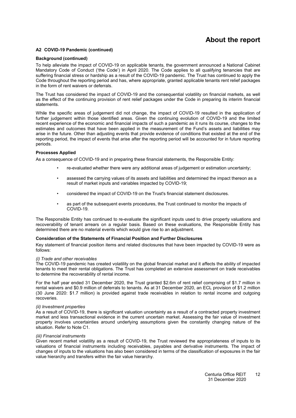## **About the report**

#### **[A2](#page-12-3) COVID-19 Pandemic (continued)**

#### **Background (continued)**

To help alleviate the impact of COVID-19 on applicable tenants, the government announced a National Cabinet Mandatory Code of Conduct ('the Code') in April 2020. The Code applies to all qualifying tenancies that are suffering financial stress or hardship as a result of the COVID-19 pandemic. The Trust has continued to apply the Code throughout the reporting period and has, where appropriate, granted applicable tenants rent relief packages in the form of rent waivers or deferrals.

The Trust has considered the impact of COVID-19 and the consequential volatility on financial markets, as well as the effect of the continuing provision of rent relief packages under the Code in preparing its interim financial statements.

While the specific areas of judgement did not change, the impact of COVID-19 resulted in the application of further judgement within those identified areas. Given the continuing evolution of COVID-19 and the limited recent experience of the economic and financial impacts of such a pandemic as it runs its course, changes to the estimates and outcomes that have been applied in the measurement of the Fund's assets and liabilities may arise in the future. Other than adjusting events that provide evidence of conditions that existed at the end of the reporting period, the impact of events that arise after the reporting period will be accounted for in future reporting periods.

#### **Processes Applied**

As a consequence of COVID-19 and in preparing these financial statements, the Responsible Entity:

- re-evaluated whether there were any additional areas of judgement or estimation uncertainty;
- assessed the carrying values of its assets and liabilities and determined the impact thereon as a result of market inputs and variables impacted by COVID-19;
- considered the impact of COVID-19 on the Trust's financial statement disclosures.
- as part of the subsequent events procedures, the Trust continued to monitor the impacts of COVID-19.

The Responsible Entity has continued to re-evaluate the significant inputs used to drive property valuations and recoverability of tenant arrears on a regular basis. Based on these evaluations, the Responsible Entity has determined there are no material events which would give rise to an adjustment.

#### **Consideration of the Statements of Financial Position and Further Disclosures**

Key statement of financial position items and related disclosures that have been impacted by COVID-19 were as follows:

#### *(i) Trade and other receivables*

The COVID-19 pandemic has created volatility on the global financial market and it affects the ability of impacted tenants to meet their rental obligations. The Trust has completed an extensive assessment on trade receivables to determine the recoverability of rental income.

For the half year ended 31 December 2020, the Trust granted \$2.6m of rent relief comprising of \$1.7 million in rental waivers and \$0.9 million of deferrals to tenants. As at 31 December 2020, an ECL provision of \$1.2 million (30 June 2020: \$1.7 million) is provided against trade receivables in relation to rental income and outgoing recoveries.

#### *(ii) Investment properties*

As a result of COVID-19, there is significant valuation uncertainty as a result of a contracted property investment market and less transactional evidence in the current uncertain market. Assessing the fair value of investment property involves uncertainties around underlying assumptions given the constantly changing nature of the situation. Refer to Note [C1.](#page-12-0)

#### *(iii) Financial instruments*

Given recent market volatility as a result of COVID-19, the Trust reviewed the appropriateness of inputs to its valuations of financial instruments including receivables, payables and derivative instruments. The impact of changes of inputs to the valuations has also been considered in terms of the classification of exposures in the fair value hierarchy and transfers within the fair value hierarchy.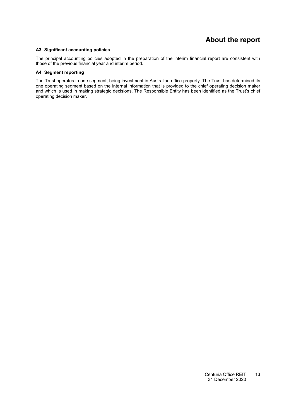## **About the report**

#### <span id="page-14-0"></span>**[A3](#page-14-0) Significant accounting policies**

<span id="page-14-1"></span>The principal accounting policies adopted in the preparation of the interim financial report are consistent with those of the previous financial year and interim period.

#### **[A4](#page-14-1) Segment reporting**

The Trust operates in one segment, being investment in Australian office property. The Trust has determined its one operating segment based on the internal information that is provided to the chief operating decision maker and which is used in making strategic decisions. The Responsible Entity has been identified as the Trust's chief operating decision maker.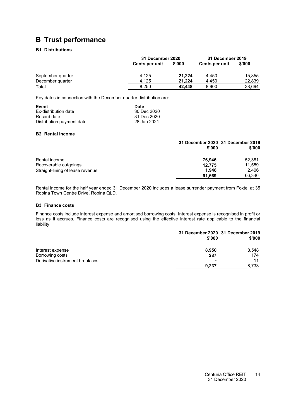# <span id="page-15-1"></span><span id="page-15-0"></span>**B Trust performance**

### **[B1](#page-15-1) Distributions**

|                   |                       | 31 December 2020 |                       | 31 December 2019 |
|-------------------|-----------------------|------------------|-----------------------|------------------|
|                   | <b>Cents per unit</b> | \$'000           | <b>Cents per unit</b> | \$'000           |
| September quarter | 4.125                 | 21.224           | 4.450                 | 15.855           |
| December quarter  | 4.125                 | 21.224           | 4.450                 | 22,839           |
| Total             | 8.250                 | 42.448           | 8.900                 | 38.694           |

Key dates in connection with the December quarter distribution are:

| Event                     | Date        |
|---------------------------|-------------|
| Ex-distribution date      | 30 Dec 2020 |
| Record date               | 31 Dec 2020 |
| Distribution payment date | 28 Jan 2021 |

#### <span id="page-15-2"></span>**[B2](#page-15-2) Rental income**

|                                  | 31 December 2020 31 December 2019<br>\$'000 | \$'000 |
|----------------------------------|---------------------------------------------|--------|
| Rental income                    | 76.946                                      | 52.381 |
| Recoverable outgoings            | 12.775                                      | 11,559 |
| Straight-lining of lease revenue | 1.948                                       | 2.406  |
|                                  | 91.669                                      | 66,346 |

<span id="page-15-3"></span>Rental income for the half year ended 31 December 2020 includes a lease surrender payment from Foxtel at 35 Robina Town Centre Drive, Robina QLD.

#### **[B3](#page-15-3) Finance costs**

Finance costs include interest expense and amortised borrowing costs. Interest expense is recognised in profit or loss as it accrues. Finance costs are recognised using the effective interest rate applicable to the financial liability.

|                                  | \$'000 | 31 December 2020 31 December 2019<br>\$'000 |
|----------------------------------|--------|---------------------------------------------|
| Interest expense                 | 8.950  | 8,548                                       |
| Borrowing costs                  | 287    | 174                                         |
| Derivative instrument break cost |        | 11                                          |
|                                  | 9.237  | 8.733                                       |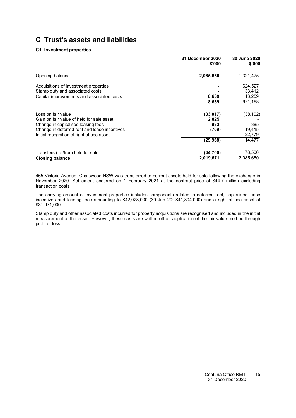#### **[C1](#page-12-0) Investment properties**

|                                                                          | 31 December 2020<br>\$'000 | <b>30 June 2020</b><br>\$'000 |
|--------------------------------------------------------------------------|----------------------------|-------------------------------|
| Opening balance                                                          | 2,085,650                  | 1,321,475                     |
| Acquisitions of investment properties<br>Stamp duty and associated costs |                            | 624,527<br>33,412             |
| Capital improvements and associated costs                                | 8,689                      | 13,259                        |
|                                                                          | 8,689                      | 671,198                       |
| Loss on fair value                                                       | (33, 017)                  | (38, 102)                     |
| Gain on fair value of held for sale asset                                | 2,825                      |                               |
| Change in capitalised leasing fees                                       | 933                        | 385                           |
| Change in deferred rent and lease incentives                             | (709)                      | 19,415                        |
| Initial recognition of right of use asset                                |                            | 32,779                        |
|                                                                          | (29, 968)                  | 14,477                        |
| Transfers (to)/from held for sale                                        | (44,700)                   | 78,500                        |
| <b>Closing balance</b>                                                   | 2,019,671                  | 2,085,650                     |

465 Victoria Avenue, Chatswood NSW was transferred to current assets held-for-sale following the exchange in November 2020. Settlement occurred on 1 February 2021 at the contract price of \$44.7 million excluding transaction costs.

The carrying amount of investment properties includes components related to deferred rent, capitalised lease incentives and leasing fees amounting to \$42,028,000 (30 Jun 20: \$41,804,000) and a right of use asset of \$31,971,000.

Stamp duty and other associated costs incurred for property acquisitions are recognised and included in the initial measurement of the asset. However, these costs are written off on application of the fair value method through profit or loss.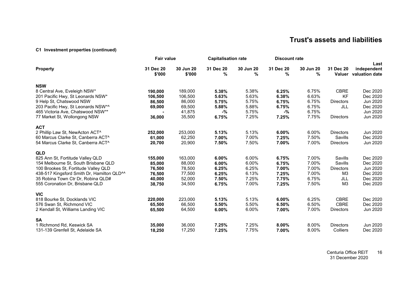### **[C1](#page-12-4) Investment properties (continued)**

|                                                        | <b>Fair value</b>   |                     | <b>Capitalisation rate</b> |                | <b>Discount rate</b> |                |                  |                                              |
|--------------------------------------------------------|---------------------|---------------------|----------------------------|----------------|----------------------|----------------|------------------|----------------------------------------------|
| <b>Property</b>                                        | 31 Dec 20<br>\$'000 | 30 Jun 20<br>\$'000 | 31 Dec 20<br>%             | 30 Jun 20<br>% | 31 Dec 20<br>%       | 30 Jun 20<br>% | 31 Dec 20        | Last<br>independent<br>Valuer valuation date |
| <b>NSW</b>                                             |                     |                     |                            |                |                      |                |                  |                                              |
| 8 Central Ave, Eveleigh NSW*                           | 190,000             | 189,000             | 5.38%                      | 5.38%          | 6.25%                | 6.75%          | <b>CBRE</b>      | Dec 2020                                     |
| 201 Pacific Hwy, St Leonards NSW*                      | 106,500             | 106,500             | 5.63%                      | 5.63%          | 6.38%                | 6.63%          | <b>KF</b>        | Dec 2020                                     |
| 9 Help St, Chatswood NSW                               | 86,500              | 86,000              | 5.75%                      | 5.75%          | 6.75%                | 6.75%          | <b>Directors</b> | Jun 2020                                     |
| 203 Pacific Hwy, St Leonards NSW*^                     | 69,000              | 69,500              | 5.88%                      | 5.88%          | 6.75%                | 6.75%          | JLL              | Dec 2020                                     |
| 465 Victoria Ave, Chatswood NSW**                      |                     | 41,875              | $-$ %                      | 5.75%          | $-$ %                | 6.75%          |                  | Jun 2020                                     |
| 77 Market St, Wollongong NSW                           | 36,000              | 35,500              | 6.75%                      | 7.25%          | 7.25%                | 7.75%          | <b>Directors</b> | Jun 2020                                     |
| <b>ACT</b>                                             |                     |                     |                            |                |                      |                |                  |                                              |
| 2 Phillip Law St, NewActon ACT^                        | 252,000             | 253,000             | 5.13%                      | 5.13%          | $6.00\%$             | 6.00%          | <b>Directors</b> | Jun 2020                                     |
| 60 Marcus Clarke St, Canberra ACT^                     | 61,000              | 62,250              | 7.00%                      | 7.00%          | 7.25%                | 7.50%          | Savills          | Dec 2020                                     |
| 54 Marcus Clarke St, Canberra ACT^                     | 20,700              | 20,900              | 7.50%                      | 7.50%          | 7.00%                | 7.00%          | <b>Directors</b> | Jun 2020                                     |
|                                                        |                     |                     |                            |                |                      |                |                  |                                              |
| <b>QLD</b>                                             |                     |                     |                            |                |                      |                |                  |                                              |
| 825 Ann St, Fortitude Valley QLD                       | 155,000             | 163,000             | 6.00%                      | 6.00%          | 6.75%                | 7.00%          | Savills          | Dec 2020                                     |
| 154 Melbourne St, South Brisbane QLD                   | 85,000              | 88,000              | 6.00%                      | 6.00%          | 6.75%                | 7.00%          | Savills          | Dec 2020                                     |
| 100 Brookes St, Fortitude Valley QLD                   | 76,500              | 78,500              | 6.25%                      | 6.25%          | 7.00%                | 7.00%          | <b>Directors</b> | Jun 2020                                     |
| 438-517 Kingsford Smith Dr, Hamilton QLD <sup>^^</sup> | 76,500              | 77,500              | 6.25%                      | 6.13%          | 7.25%                | 7.00%          | M <sub>3</sub>   | Dec 2020                                     |
| 35 Robina Town Ctr Dr, Robina QLD#                     | 40,000              | 52,000              | 7.50%                      | 7.25%          | 7.75%                | 6.75%          | JLL              | Dec 2020                                     |
| 555 Coronation Dr. Brisbane QLD                        | 38,750              | 34,500              | 6.75%                      | 7.00%          | 7.25%                | 7.50%          | M <sub>3</sub>   | Dec 2020                                     |
| <b>VIC</b>                                             |                     |                     |                            |                |                      |                |                  |                                              |
| 818 Bourke St, Docklands VIC                           | 220,000             | 223,000             | 5.13%                      | 5.13%          | 6.00%                | 6.25%          | <b>CBRE</b>      | Dec 2020                                     |
| 576 Swan St, Richmond VIC                              | 65,500              | 66,500              | 5.50%                      | 5.50%          | 6.50%                | 6.50%          | <b>CBRE</b>      | Dec 2020                                     |
| 2 Kendall St, Williams Landing VIC                     | 65,500              | 64,500              | 6.00%                      | 6.00%          | 7.00%                | 7.00%          | <b>Directors</b> | Jun 2020                                     |
|                                                        |                     |                     |                            |                |                      |                |                  |                                              |
| <b>SA</b>                                              |                     |                     |                            |                |                      |                |                  |                                              |
| 1 Richmond Rd, Keswick SA                              | 35,000              | 36,000              | 7.25%                      | 7.25%          | 8.00%                | 8.00%          | <b>Directors</b> | Jun 2020                                     |
| 131-139 Grenfell St, Adelaide SA                       | 18,250              | 17,250              | 7.25%                      | 7.75%          | 7.00%                | 8.00%          | Colliers         | Dec 2020                                     |

Centuria Office REIT 31 December 2020 16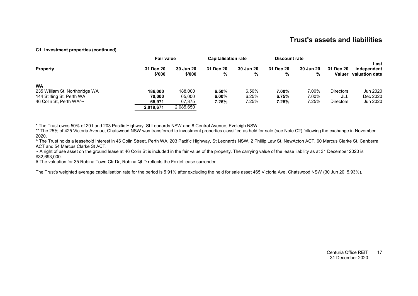#### **C1 Investment properties (continued)**

|                                | <b>Fair value</b>   |                            | <b>Capitalisation rate</b> |                | <b>Discount rate</b> |                       |                     |                                       |
|--------------------------------|---------------------|----------------------------|----------------------------|----------------|----------------------|-----------------------|---------------------|---------------------------------------|
| <b>Property</b>                | 31 Dec 20<br>\$'000 | <b>30 Jun 20</b><br>\$'000 | 31 Dec 20<br>%             | 30 Jun 20<br>% | 31 Dec 20<br>%       | <b>30 Jun 20</b><br>% | 31 Dec 20<br>Valuer | Last<br>independent<br>valuation date |
| <b>WA</b>                      |                     |                            |                            |                |                      |                       |                     |                                       |
| 235 William St, Northbridge WA | 186.000             | 188,000                    | 6.50%                      | 6.50%          | 7.00%                | 7.00%                 | <b>Directors</b>    | Jun 2020                              |
| 144 Stirling St, Perth WA      | 70,000              | 65,000                     | $6.00\%$                   | 6.25%          | 6.75%                | 7.00%                 | JLL                 | Dec 2020                              |
| 46 Colin St, Perth WA^~        | 65.971              | 67,375                     | 7.25%                      | 7.25%          | 7.25%                | 7.25%                 | <b>Directors</b>    | Jun 2020                              |
|                                | 2,019,671           | 2,085,650                  |                            |                |                      |                       |                     |                                       |

\* The Trust owns 50% of 201 and 203 Pacific Highway, St Leonards NSW and 8 Central Avenue, Eveleigh NSW.

\*\* The 25% of 425 Victoria Avenue, Chatswood NSW was transferred to investment properties classified as held for sale (see Note C2) following the exchange in November 2020.

^ The Trust holds a leasehold interest in 46 Colin Street, Perth WA, 203 Pacific Highway, St Leonards NSW, 2 Phillip Law St, NewActon ACT, 60 Marcus Clarke St, Canberra ACT and 54 Marcus Clarke St ACT.

~ A right of use asset on the ground lease at 46 Colin St is included in the fair value of the property. The carrying value of the lease liability as at 31 December 2020 is \$32,693,000.

# The valuation for 35 Robina Town Ctr Dr, Robina QLD reflects the Foxtel lease surrender

The Trust's weighted average capitalisation rate for the period is 5.91% after excluding the held for sale asset 465 Victoria Ave, Chatswood NSW (30 Jun 20: 5.93%).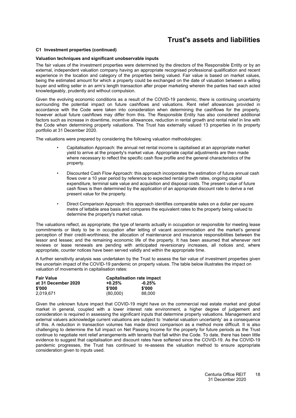#### **[C1](#page-12-0) Investment properties (continued)**

#### **Valuation techniques and significant unobservable inputs**

The fair values of the investment properties were determined by the directors of the Responsible Entity or by an external, independent valuation company having an appropriate recognised professional qualification and recent experience in the location and category of the properties being valued. Fair value is based on market values, being the estimated amount for which a property could be exchanged on the date of valuation between a willing buyer and willing seller in an arm's length transaction after proper marketing wherein the parties had each acted knowledgeably, prudently and without compulsion.

Given the evolving economic conditions as a result of the COVID-19 pandemic, there is continuing uncertainty surrounding the potential impact on future cashflows and valuations. Rent relief allowances provided in accordance with the Code were taken into consideration when determining the cashflows for the property, however actual future cashflows may differ from this. The Responsible Entity has also considered additional factors such as increase in downtime, incentive allowances, reduction in rental growth and rental relief in line with the Code when determining property valuations. The Trust has externally valued 13 properties in its property portfolio at 31 December 2020.

The valuations were prepared by considering the following valuation methodologies:

- Capitalisation Approach: the annual net rental income is capitalised at an appropriate market yield to arrive at the property's market value. Appropriate capital adjustments are then made where necessary to reflect the specific cash flow profile and the general characteristics of the property.
- Discounted Cash Flow Approach: this approach incorporates the estimation of future annual cash flows over a 10 year period by reference to expected rental growth rates, ongoing capital expenditure, terminal sale value and acquisition and disposal costs. The present value of future cash flows is then determined by the application of an appropriate discount rate to derive a net present value for the property.
- Direct Comparison Approach: this approach identifies comparable sales on a dollar per square metre of lettable area basis and compares the equivalent rates to the property being valued to determine the property's market value.

The valuations reflect, as appropriate; the type of tenants actually in occupation or responsible for meeting lease commitments or likely to be in occupation after letting of vacant accommodation and the market's general perception of their credit-worthiness; the allocation of maintenance and insurance responsibilities between the lessor and lessee; and the remaining economic life of the property. It has been assumed that whenever rent reviews or lease renewals are pending with anticipated reversionary increases, all notices and, where appropriate, counter notices have been served validly and within the appropriate time.

A further sensitivity analysis was undertaken by the Trust to assess the fair value of investment properties given the uncertain impact of the COVID-19 pandemic on property values. The table below illustrates the impact on valuation of movements in capitalisation rates:

| <b>Fair Value</b>   | <b>Capitalisation rate impact</b> |          |  |
|---------------------|-----------------------------------|----------|--|
| at 31 December 2020 | $+0.25%$                          | $-0.25%$ |  |
| \$'000              | \$'000                            | \$'000   |  |
| 2.019.671           | (80,000)                          | 88,000   |  |

Given the unknown future impact that COVID-19 might have on the commercial real estate market and global market in general, coupled with a lower interest rate environment, a higher degree of judgement and consideration is required in assessing the significant inputs that determine property valuations. Management and external valuers acknowledge current valuations are subject to 'material valuation uncertainty' as a consequence of this. A reduction in transaction volumes has made direct comparison as a method more difficult. It is also challenging to determine the full impact on Net Passing Income for the property for future periods as the Trust continue to negotiate rent relief arrangements with tenants that fall within the Code. To date, there has been little evidence to suggest that capitalisation and discount rates have softened since the COVID-19. As the COVID-19 pandemic progresses, the Trust has continued to re-assess the valuation method to ensure appropriate consideration given to inputs used.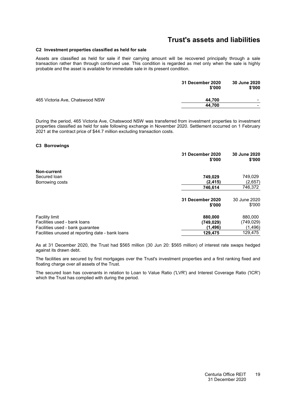#### <span id="page-20-0"></span>**[C2](#page-20-0) Investment properties classified as held for sale**

Assets are classified as held for sale if their carrying amount will be recovered principally through a sale transaction rather than through continued use. This condition is regarded as met only when the sale is highly probable and the asset is available for immediate sale in its present condition.

|                                 | <b>31 December 2020</b><br>\$'000 | 30 June 2020<br>\$'000 |
|---------------------------------|-----------------------------------|------------------------|
| 465 Victoria Ave, Chatswood NSW | 44.700                            |                        |
|                                 | 44.700                            | $\sim$                 |
|                                 |                                   |                        |

<span id="page-20-1"></span>During the period, 465 Victoria Ave, Chatswood NSW was transferred from investment properties to investment properties classified as held for sale following exchange in November 2020. Settlement occurred on 1 February 2021 at the contract price of \$44.7 million excluding transaction costs.

#### **[C3](#page-20-1) Borrowings**

|                                                  | 31 December 2020<br>\$'000 | 30 June 2020<br>\$'000 |
|--------------------------------------------------|----------------------------|------------------------|
| Non-current                                      |                            |                        |
| Secured Ioan                                     | 749,029                    | 749,029                |
| Borrowing costs                                  | (2, 415)                   | (2,657)                |
|                                                  | 746,614                    | 746,372                |
|                                                  | 31 December 2020<br>\$'000 | 30 June 2020<br>\$'000 |
| <b>Facility limit</b>                            | 880,000                    | 880,000                |
| Facilities used - bank loans                     | (749, 029)                 | (749,029)              |
| Facilities used - bank guarantee                 | (1, 496)                   | (1, 496)               |
| Facilities unused at reporting date - bank loans | 129,475                    | 129.475                |

As at 31 December 2020, the Trust had \$565 million (30 Jun 20: \$565 million) of interest rate swaps hedged against its drawn debt.

The facilities are secured by first mortgages over the Trust's investment properties and a first ranking fixed and floating charge over all assets of the Trust.

The secured loan has covenants in relation to Loan to Value Ratio ('LVR') and Interest Coverage Ratio ('ICR') which the Trust has complied with during the period.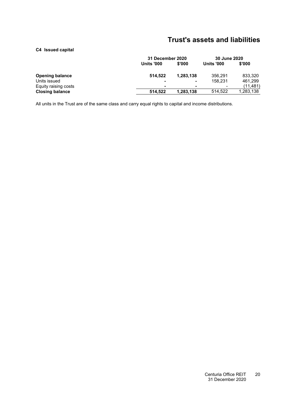#### <span id="page-21-0"></span>**[C4](#page-21-0) Issued capital**

|                        |                   | <b>31 December 2020</b>  |                   | 30 June 2020 |
|------------------------|-------------------|--------------------------|-------------------|--------------|
|                        | <b>Units '000</b> | \$'000                   | <b>Units '000</b> | \$'000       |
| <b>Opening balance</b> | 514.522           | 1.283.138                | 356.291           | 833,320      |
| Units issued           |                   | $\overline{\phantom{0}}$ | 158.231           | 461.299      |
| Equity raising costs   | $\blacksquare$    |                          | $\,$              | (11, 481)    |
| <b>Closing balance</b> | 514.522           | 1,283,138                | 514.522           | 1,283,138    |

All units in the Trust are of the same class and carry equal rights to capital and income distributions.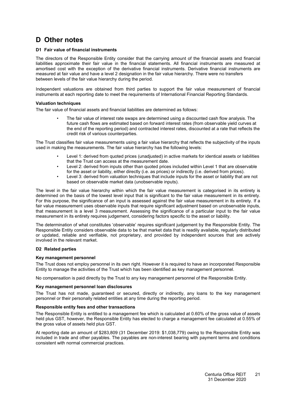## <span id="page-22-1"></span><span id="page-22-0"></span>**D Other notes**

#### **[D1](#page-22-1) Fair value of financial instruments**

The directors of the Responsible Entity consider that the carrying amount of the financial assets and financial liabilities approximate their fair value in the financial statements. All financial instruments are measured at amortised cost with the exception of the derivative financial instruments. Derivative financial instruments are measured at fair value and have a level 2 designation in the fair value hierarchy. There were no transfers between levels of the fair value hierarchy during the period.

Independent valuations are obtained from third parties to support the fair value measurement of financial instruments at each reporting date to meet the requirements of International Financial Reporting Standards.

#### **Valuation techniques**

The fair value of financial assets and financial liabilities are determined as follows:

• The fair value of interest rate swaps are determined using a discounted cash flow analysis. The future cash flows are estimated based on forward interest rates (from observable yield curves at the end of the reporting period) and contracted interest rates, discounted at a rate that reflects the credit risk of various counterparties.

The Trust classifies fair value measurements using a fair value hierarchy that reflects the subjectivity of the inputs used in making the measurements. The fair value hierarchy has the following levels:

- Level 1: derived from quoted prices (unadjusted) in active markets for identical assets or liabilities that the Trust can access at the measurement date.
- Level 2: derived from inputs other than quoted prices included within Level 1 that are observable for the asset or liability, either directly (i.e. as prices) or indirectly (i.e. derived from prices).
- Level 3: derived from valuation techniques that include inputs for the asset or liability that are not based on observable market data (unobservable inputs).

The level in the fair value hierarchy within which the fair value measurement is categorised in its entirety is determined on the basis of the lowest level input that is significant to the fair value measurement in its entirety. For this purpose, the significance of an input is assessed against the fair value measurement in its entirety. If a fair value measurement uses observable inputs that require significant adjustment based on unobservable inputs, that measurement is a level 3 measurement. Assessing the significance of a particular input to the fair value measurement in its entirety requires judgement, considering factors specific to the asset or liability.

The determination of what constitutes 'observable' requires significant judgement by the Responsible Entity. The Responsible Entity considers observable data to be that market data that is readily available, regularly distributed or updated, reliable and verifiable, not proprietary, and provided by independent sources that are actively involved in the relevant market.

#### <span id="page-22-2"></span>**[D2](#page-22-2) Related parties**

#### **Key management personnel**

The Trust does not employ personnel in its own right. However it is required to have an incorporated Responsible Entity to manage the activities of the Trust which has been identified as key management personnel.

No compensation is paid directly by the Trust to any key management personnel of the Responsible Entity.

#### **Key management personnel loan disclosures**

The Trust has not made, guaranteed or secured, directly or indirectly, any loans to the key management personnel or their personally related entities at any time during the reporting period.

#### **Responsible entity fees and other transactions**

The Responsible Entity is entitled to a management fee which is calculated at 0.60% of the gross value of assets held plus GST, however, the Responsible Entity has elected to charge a management fee calculated at 0.55% of the gross value of assets held plus GST.

At reporting date an amount of \$283,809 (31 December 2019: \$1,038,779) owing to the Responsible Entity was included in trade and other payables. The payables are non-interest bearing with payment terms and conditions consistent with normal commercial practices.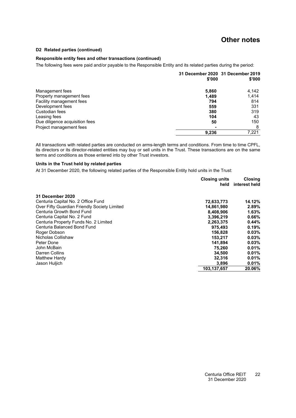### **Other notes**

#### **[D2](#page-22-2) Related parties (continued)**

#### **Responsible entity fees and other transactions (continued)**

The following fees were paid and/or payable to the Responsible Entity and its related parties during the period:

|                                | \$'000 | 31 December 2020 31 December 2019<br>\$'000 |
|--------------------------------|--------|---------------------------------------------|
| Management fees                | 5,860  | 4,142                                       |
| Property management fees       | 1.489  | 1,414                                       |
| Facility management fees       | 794    | 814                                         |
| Development fees               | 559    | 331                                         |
| Custodian fees                 | 380    | 319                                         |
| Leasing fees                   | 104    | 43                                          |
| Due diligence acquisition fees | 50     | 150                                         |
| Project management fees        |        | 8                                           |
|                                | 9,236  | 7.221                                       |

All transactions with related parties are conducted on arms-length terms and conditions. From time to time CPFL, its directors or its director-related entities may buy or sell units in the Trust. These transactions are on the same terms and conditions as those entered into by other Trust investors.

#### **Units in the Trust held by related parties**

At 31 December 2020, the following related parties of the Responsible Entity hold units in the Trust:

|                                              | <b>Closing units</b> | <b>Closing</b> |
|----------------------------------------------|----------------------|----------------|
|                                              | held                 | interest held  |
| 31 December 2020                             |                      |                |
| Centuria Capital No. 2 Office Fund           | 72,633,773           | 14.12%         |
| Over Fifty Guardian Friendly Society Limited | 14,861,980           | 2.89%          |
| Centuria Growth Bond Fund                    | 8,408,906            | 1.63%          |
| Centuria Capital No. 2 Fund                  | 3,396,219            | 0.66%          |
| Centuria Property Funds No. 2 Limited        | 2,263,375            | 0.44%          |
| Centuria Balanced Bond Fund                  | 975.493              | 0.19%          |
| Roger Dobson                                 | 156,828              | 0.03%          |
| Nicholas Collishaw                           | 153.217              | 0.03%          |
| Peter Done                                   | 141,894              | 0.03%          |
| John McBain                                  | 75.260               | 0.01%          |
| Darren Collins                               | 34.500               | 0.01%          |
| Matthew Hardy                                | 32.316               | 0.01%          |
| Jason Huljich                                | 3,896                | 0.01%          |
|                                              | 103.137.657          | 20.06%         |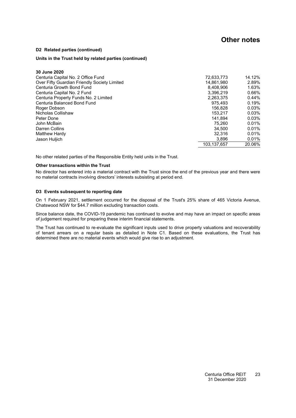### **Other notes**

#### **[D2](#page-22-2) Related parties (continued)**

#### **Units in the Trust held by related parties (continued)**

| 30 June 2020                                 |             |        |
|----------------------------------------------|-------------|--------|
| Centuria Capital No. 2 Office Fund           | 72.633.773  | 14.12% |
| Over Fifty Guardian Friendly Society Limited | 14.861.980  | 2.89%  |
| Centuria Growth Bond Fund                    | 8.408.906   | 1.63%  |
| Centuria Capital No. 2 Fund                  | 3.396.219   | 0.66%  |
| Centuria Property Funds No. 2 Limited        | 2,263,375   | 0.44%  |
| Centuria Balanced Bond Fund                  | 975.493     | 0.19%  |
| Roger Dobson                                 | 156.828     | 0.03%  |
| Nicholas Collishaw                           | 153.217     | 0.03%  |
| Peter Done                                   | 141.894     | 0.03%  |
| John McBain                                  | 75.260      | 0.01%  |
| Darren Collins                               | 34.500      | 0.01%  |
| Matthew Hardy                                | 32.316      | 0.01%  |
| Jason Huljich                                | 3.896       | 0.01%  |
|                                              | 103.137.657 | 20.06% |

No other related parties of the Responsible Entity held units in the Trust.

#### **Other transactions within the Trust**

<span id="page-24-0"></span>No director has entered into a material contract with the Trust since the end of the previous year and there were no material contracts involving directors' interests subsisting at period end.

#### **[D3](#page-24-0) Events subsequent to reporting date**

On 1 February 2021, settlement occurred for the disposal of the Trust's 25% share of 465 Victoria Avenue, Chatswood NSW for \$44.7 million excluding transaction costs.

Since balance date, the COVID-19 pandemic has continued to evolve and may have an impact on specific areas of judgement required for preparing these interim financial statements.

The Trust has continued to re-evaluate the significant inputs used to drive property valuations and recoverability of tenant arrears on a regular basis as detailed in Note [C1.](#page-12-0) Based on these evaluations, the Trust has determined there are no material events which would give rise to an adjustment.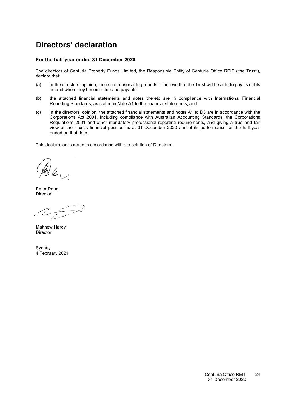# <span id="page-25-0"></span>**Directors' declaration**

#### **For the half-year ended 31 December 2020**

The directors of Centuria Property Funds Limited, the Responsible Entity of Centuria Office REIT ('the Trust'), declare that:

- (a) in the directors' opinion, there are reasonable grounds to believe that the Trust will be able to pay its debts as and when they become due and payable;
- (b) the attached financial statements and notes thereto are in compliance with International Financial Reporting Standards, as stated in Note [A1](#page-12-2) to the financial statements; and
- (c) in the directors' opinion, the attached financial statements and notes [A1](#page-12-2) to D3 are in accordance with the Corporations Act 2001, including compliance with Australian Accounting Standards, the Corporations Regulations 2001 and other mandatory professional reporting requirements, and giving a true and fair view of the Trust's financial position as at 31 December 2020 and of its performance for the half-year ended on that date.

This declaration is made in accordance with a resolution of Directors.

Peter Done Director

Matthew Hardy Director

**Sydney** 4 February 2021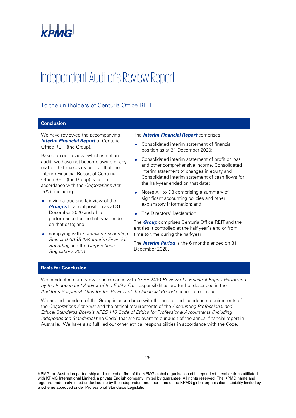

# Independent Auditor's Review Report

### To the unitholders of Centuria Office REIT

#### **Conclusion**

We have reviewed the accompanying **Interim Financial Report** of Centuria Office REIT (the Group).

Based on our review, which is not an audit, we have not become aware of any matter that makes us believe that the Interim Financial Report of Centuria Office REIT (the Group) is not in accordance with the Corporations Act 2001, including:

- giving a true and fair view of the **Group's** financial position as at 31 December 2020 and of its performance for the half-year ended on that date; and
- complying with Australian Accounting Standard AASB 134 Interim Financial Reporting and the Corporations Regulations 2001.

#### The **Interim Financial Report** comprises:

- Consolidated interim statement of financial position as at 31 December 2020;
- Consolidated interim statement of profit or loss and other comprehensive income, Consolidated interim statement of changes in equity and Consolidated interim statement of cash flows for the half-year ended on that date;
- Notes A1 to D3 comprising a summary of significant accounting policies and other explanatory information; and
- The Directors' Declaration.

The **Group** comprises Centuria Office REIT and the entities it controlled at the half year's end or from time to time during the half-year.

The **Interim Period** is the 6 months ended on 31 December 2020.

#### **Basis for Conclusion**

We conducted our review in accordance with ASRE 2410 Review of a Financial Report Performed by the Independent Auditor of the Entity. Our responsibilities are further described in the Auditor's Responsibilities for the Review of the Financial Report section of our report.

We are independent of the Group in accordance with the auditor independence requirements of the Corporations Act 2001 and the ethical requirements of the Accounting Professional and Ethical Standards Board's APES 110 Code of Ethics for Professional Accountants (including Independence Standards) (the Code) that are relevant to our audit of the annual financial report in Australia. We have also fulfilled our other ethical responsibilities in accordance with the Code.

KPMG, an Australian partnership and a member firm of the KPMG global organisation of independent member firms affiliated with KPMG International Limited, a private English company limited by guarantee. All rights reserved. The KPMG name and logo are trademarks used under license by the independent member firms of the KPMG global organisation. Liability limited by a scheme approved under Professional Standards Legislation.